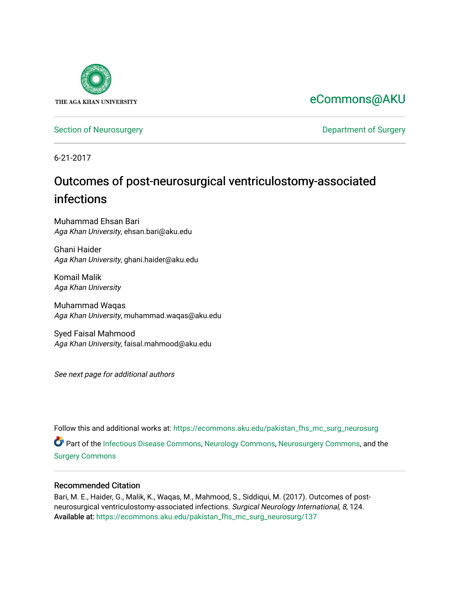

# [eCommons@AKU](https://ecommons.aku.edu/)

[Section of Neurosurgery](https://ecommons.aku.edu/pakistan_fhs_mc_surg_neurosurg) **Department of Surgery** Department of Surgery

6-21-2017

# Outcomes of post-neurosurgical ventriculostomy-associated infections

Muhammad Ehsan Bari Aga Khan University, ehsan.bari@aku.edu

Ghani Haider Aga Khan University, ghani.haider@aku.edu

Komail Malik Aga Khan University

Muhammad Waqas Aga Khan University, muhammad.waqas@aku.edu

Syed Faisal Mahmood Aga Khan University, faisal.mahmood@aku.edu

See next page for additional authors

Follow this and additional works at: [https://ecommons.aku.edu/pakistan\\_fhs\\_mc\\_surg\\_neurosurg](https://ecommons.aku.edu/pakistan_fhs_mc_surg_neurosurg?utm_source=ecommons.aku.edu%2Fpakistan_fhs_mc_surg_neurosurg%2F137&utm_medium=PDF&utm_campaign=PDFCoverPages)  Part of the [Infectious Disease Commons,](http://network.bepress.com/hgg/discipline/689?utm_source=ecommons.aku.edu%2Fpakistan_fhs_mc_surg_neurosurg%2F137&utm_medium=PDF&utm_campaign=PDFCoverPages) [Neurology Commons](http://network.bepress.com/hgg/discipline/692?utm_source=ecommons.aku.edu%2Fpakistan_fhs_mc_surg_neurosurg%2F137&utm_medium=PDF&utm_campaign=PDFCoverPages), [Neurosurgery Commons](http://network.bepress.com/hgg/discipline/1428?utm_source=ecommons.aku.edu%2Fpakistan_fhs_mc_surg_neurosurg%2F137&utm_medium=PDF&utm_campaign=PDFCoverPages), and the [Surgery Commons](http://network.bepress.com/hgg/discipline/706?utm_source=ecommons.aku.edu%2Fpakistan_fhs_mc_surg_neurosurg%2F137&utm_medium=PDF&utm_campaign=PDFCoverPages)

#### Recommended Citation

Bari, M. E., Haider, G., Malik, K., Waqas, M., Mahmood, S., Siddiqui, M. (2017). Outcomes of postneurosurgical ventriculostomy-associated infections. Surgical Neurology International, 8, 124. Available at: [https://ecommons.aku.edu/pakistan\\_fhs\\_mc\\_surg\\_neurosurg/137](https://ecommons.aku.edu/pakistan_fhs_mc_surg_neurosurg/137)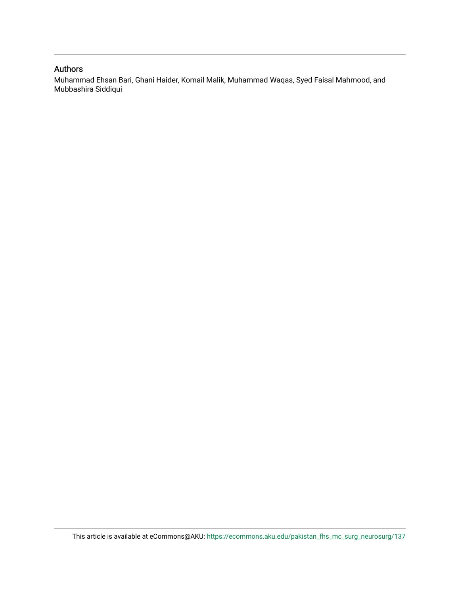#### Authors

Muhammad Ehsan Bari, Ghani Haider, Komail Malik, Muhammad Waqas, Syed Faisal Mahmood, and Mubbashira Siddiqui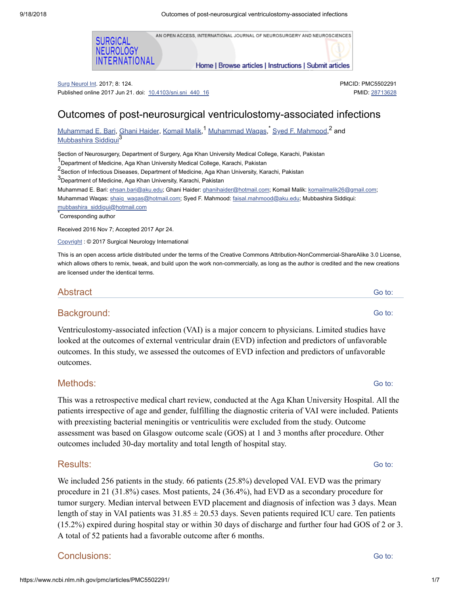AN OPEN ACCESS, INTERNATIONAL JOURNAL OF NEUROSURGERY AND NEUROSCIENCES

Home | Browse articles | Instructions | Submit articles

Surg Neurol Int. 2017; 8: 124. Published online 2017 Jun 21. doi: [10.4103/sni.sni\\_440\\_16](https://dx.doi.org/10.4103%2Fsni.sni_440_16)

FERNATIONAL

SURGICAL **NEUROLOGY** 

# Outcomes of post-neurosurgical ventriculostomy-associated infections

[Muhammad](https://www.ncbi.nlm.nih.gov/pubmed/?term=Waqas%20M%5BAuthor%5D&cauthor=true&cauthor_uid=28713628) E. Bari, Ghani [Haider,](https://www.ncbi.nlm.nih.gov/pubmed/?term=Haider%20G%5BAuthor%5D&cauthor=true&cauthor_uid=28713628) [Komail](https://www.ncbi.nlm.nih.gov/pubmed/?term=Malik%20K%5BAuthor%5D&cauthor=true&cauthor_uid=28713628) Malik,<sup>1</sup> Muhammad Waq<u>as, Syed F. Mahmood</u>,<sup>2</sup> and [Mubbashira](https://www.ncbi.nlm.nih.gov/pubmed/?term=Siddiqui%20M%5BAuthor%5D&cauthor=true&cauthor_uid=28713628) Siddiqui 3

Section of Neurosurgery, Department of Surgery, Aga Khan University Medical College, Karachi, Pakistan

1<br>Department of Medicine, Aga Khan University Medical College, Karachi, Pakistan

2<br><sup>2</sup> Section of Infectious Diseases, Department of Medicine, Aga Khan University, Karachi, Pakistan

 $^3$ Department of Medicine, Aga Khan University, Karachi, Pakistan

Muhammad E. Bari: [ehsan.bari@aku.edu;](mailto:dev@null) Ghani Haider: [ghanihaider@hotmail.com;](mailto:dev@null) Komail Malik: [komailmalik26@gmail.com](mailto:dev@null); Muhammad Waqas: [shaiq\\_waqas@hotmail.com](mailto:dev@null); Syed F. Mahmood: [faisal.mahmood@aku.edu;](mailto:dev@null) Mubbashira Siddiqui: [mubbashira\\_siddiqui@hotmail.com](mailto:dev@null)

Corresponding author \*

Received 2016 Nov 7; Accepted 2017 Apr 24.

[Copyright](https://www.ncbi.nlm.nih.gov/pmc/about/copyright/) : © 2017 Surgical Neurology International

This is an open access article distributed under the terms of the Creative Commons Attribution-NonCommercial-ShareAlike 3.0 License, which allows others to remix, tweak, and build upon the work non-commercially, as long as the author is credited and the new creations are licensed under the identical terms.

#### **Abstract**

# Background:

Ventriculostomy-associated infection (VAI) is a major concern to physicians. Limited studies have looked at the outcomes of external ventricular drain (EVD) infection and predictors of unfavorable outcomes. In this study, we assessed the outcomes of EVD infection and predictors of unfavorable outcomes.

#### Methods:

This was a retrospective medical chart review, conducted at the Aga Khan University Hospital. All the patients irrespective of age and gender, fulfilling the diagnostic criteria of VAI were included. Patients with preexisting bacterial meningitis or ventriculitis were excluded from the study. Outcome assessment was based on Glasgow outcome scale (GOS) at 1 and 3 months after procedure. Other outcomes included 30-day mortality and total length of hospital stay.

#### Results:

We included 256 patients in the study. 66 patients (25.8%) developed VAI. EVD was the primary procedure in 21 (31.8%) cases. Most patients, 24 (36.4%), had EVD as a secondary procedure for tumor surgery. Median interval between EVD placement and diagnosis of infection was 3 days. Mean length of stay in VAI patients was  $31.85 \pm 20.53$  days. Seven patients required ICU care. Ten patients (15.2%) expired during hospital stay or within 30 days of discharge and further four had GOS of 2 or 3. A total of 52 patients had a favorable outcome after 6 months.

# Conclusions:

Go to:

https://www.ncbi.nlm.nih.gov/pmc/articles/PMC5502291/ 1/7

PMCID: PMC5502291 PMID: [28713628](https://www.ncbi.nlm.nih.gov/pubmed/28713628)

Go to:

Go to:

Go to:

Go to: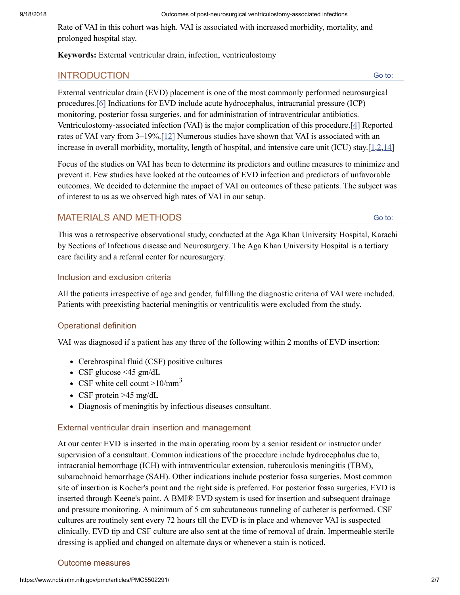Rate of VAI in this cohort was high. VAI is associated with increased morbidity, mortality, and prolonged hospital stay.

**Keywords:** External ventricular drain, infection, ventriculostomy

# INTRODUCTION

Go to:

Go to:

External ventricular drain (EVD) placement is one of the most commonly performed neurosurgical procedures.[[6](#page-7-0)] Indications for EVD include acute hydrocephalus, intracranial pressure (ICP) monitoring, posterior fossa surgeries, and for administration of intraventricular antibiotics. Ventriculostomy-associated infection (VAI) is the major complication of this procedure.[\[4\]](#page-7-1) Reported rates of VAI vary from 3–19%.[\[12](#page-8-0)] Numerous studies have shown that VAI is associated with an increase in overall morbidity, mortality, length of hospital, and intensive care unit (ICU) stay.[[1](#page-7-2)[,2](#page-7-3)[,14\]](#page-8-1)

Focus of the studies on VAI has been to determine its predictors and outline measures to minimize and prevent it. Few studies have looked at the outcomes of EVD infection and predictors of unfavorable outcomes. We decided to determine the impact of VAI on outcomes of these patients. The subject was of interest to us as we observed high rates of VAI in our setup.

# MATERIALS AND METHODS

This was a retrospective observational study, conducted at the Aga Khan University Hospital, Karachi by Sections of Infectious disease and Neurosurgery. The Aga Khan University Hospital is a tertiary care facility and a referral center for neurosurgery.

# Inclusion and exclusion criteria

All the patients irrespective of age and gender, fulfilling the diagnostic criteria of VAI were included. Patients with preexisting bacterial meningitis or ventriculitis were excluded from the study.

#### Operational definition

VAI was diagnosed if a patient has any three of the following within 2 months of EVD insertion:

- Cerebrospinal fluid (CSF) positive cultures
- CSF glucose  $\leq 45$  gm/dL
- CSF white cell count  $>10/nm<sup>3</sup>$
- CSF protein  $>45$  mg/dL
- Diagnosis of meningitis by infectious diseases consultant.

#### External ventricular drain insertion and management

At our center EVD is inserted in the main operating room by a senior resident or instructor under supervision of a consultant. Common indications of the procedure include hydrocephalus due to, intracranial hemorrhage (ICH) with intraventricular extension, tuberculosis meningitis (TBM), subarachnoid hemorrhage (SAH). Other indications include posterior fossa surgeries. Most common site of insertion is Kocher's point and the right side is preferred. For posterior fossa surgeries, EVD is inserted through Keene's point. A BMI® EVD system is used for insertion and subsequent drainage and pressure monitoring. A minimum of 5 cm subcutaneous tunneling of catheter is performed. CSF cultures are routinely sent every 72 hours till the EVD is in place and whenever VAI is suspected clinically. EVD tip and CSF culture are also sent at the time of removal of drain. Impermeable sterile dressing is applied and changed on alternate days or whenever a stain is noticed.

#### Outcome measures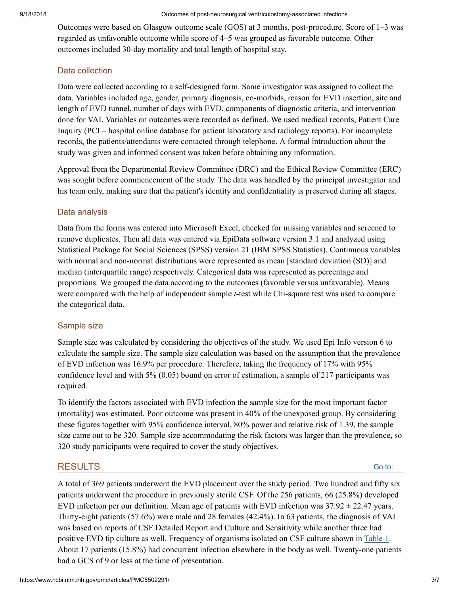#### 9/18/2018 Outcomes of post-neurosurgical ventriculostomy-associated infections

Outcomes were based on Glasgow outcome scale (GOS) at 3 months, post-procedure. Score of 1–3 was regarded as unfavorable outcome while score of 4–5 was grouped as favorable outcome. Other outcomes included 30-day mortality and total length of hospital stay.

# Data collection

Data were collected according to a self-designed form. Same investigator was assigned to collect the data. Variables included age, gender, primary diagnosis, co-morbids, reason for EVD insertion, site and length of EVD tunnel, number of days with EVD, components of diagnostic criteria, and intervention done for VAI. Variables on outcomes were recorded as defined. We used medical records, Patient Care Inquiry (PCI – hospital online database for patient laboratory and radiology reports). For incomplete records, the patients/attendants were contacted through telephone. A formal introduction about the study was given and informed consent was taken before obtaining any information.

Approval from the Departmental Review Committee (DRC) and the Ethical Review Committee (ERC) was sought before commencement of the study. The data was handled by the principal investigator and his team only, making sure that the patient's identity and confidentiality is preserved during all stages.

#### Data analysis

Data from the forms was entered into Microsoft Excel, checked for missing variables and screened to remove duplicates. Then all data was entered via EpiData software version 3.1 and analyzed using Statistical Package for Social Sciences (SPSS) version 21 (IBM SPSS Statistics). Continuous variables with normal and non-normal distributions were represented as mean [standard deviation (SD)] and median (interquartile range) respectively. Categorical data was represented as percentage and proportions. We grouped the data according to the outcomes (favorable versus unfavorable). Means were compared with the help of independent sample *t*-test while Chi-square test was used to compare the categorical data.

#### Sample size

Sample size was calculated by considering the objectives of the study. We used Epi Info version 6 to calculate the sample size. The sample size calculation was based on the assumption that the prevalence of EVD infection was 16.9% per procedure. Therefore, taking the frequency of 17% with 95% confidence level and with 5% (0.05) bound on error of estimation, a sample of 217 participants was required.

To identify the factors associated with EVD infection the sample size for the most important factor (mortality) was estimated. Poor outcome was present in 40% of the unexposed group. By considering these figures together with 95% confidence interval, 80% power and relative risk of 1.39, the sample size came out to be 320. Sample size accommodating the risk factors was larger than the prevalence, so 320 study participants were required to cover the study objectives.

# RESULTS

Go to:

A total of 369 patients underwent the EVD placement over the study period. Two hundred and fifty six patients underwent the procedure in previously sterile CSF. Of the 256 patients, 66 (25.8%) developed EVD infection per our definition. Mean age of patients with EVD infection was  $37.92 \pm 22.47$  years. Thirty-eight patients (57.6%) were male and 28 females (42.4%). In 63 patients, the diagnosis of VAI was based on reports of CSF Detailed Report and Culture and Sensitivity while another three had positive EVD tip culture as well. Frequency of organisms isolated on CSF culture shown in [Table](https://www.ncbi.nlm.nih.gov/pmc/articles/PMC5502291/table/T1/) 1. About 17 patients (15.8%) had concurrent infection elsewhere in the body as well. Twenty-one patients had a GCS of 9 or less at the time of presentation.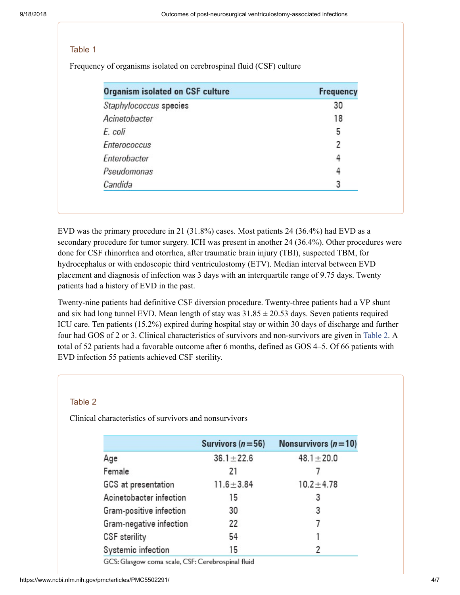#### Table 1

Frequency of organisms isolated on cerebrospinal fluid (CSF) culture

| <b>Organism isolated on CSF culture</b> | <b>Frequency</b> |
|-----------------------------------------|------------------|
| Staphylococcus species                  | 30               |
| Acinetobacter                           | 18               |
| E. coli                                 | 5                |
| Enterococcus                            | 7                |
| Enterobacter                            |                  |
| Pseudomonas                             |                  |
| Candida                                 | 3                |

EVD was the primary procedure in 21 (31.8%) cases. Most patients 24 (36.4%) had EVD as a secondary procedure for tumor surgery. ICH was present in another 24 (36.4%). Other procedures were done for CSF rhinorrhea and otorrhea, after traumatic brain injury (TBI), suspected TBM, for hydrocephalus or with endoscopic third ventriculostomy (ETV). Median interval between EVD placement and diagnosis of infection was 3 days with an interquartile range of 9.75 days. Twenty patients had a history of EVD in the past.

Twenty-nine patients had definitive CSF diversion procedure. Twenty-three patients had a VP shunt and six had long tunnel EVD. Mean length of stay was  $31.85 \pm 20.53$  days. Seven patients required ICU care. Ten patients (15.2%) expired during hospital stay or within 30 days of discharge and further four had GOS of 2 or 3. Clinical characteristics of survivors and non-survivors are given in [Table](https://www.ncbi.nlm.nih.gov/pmc/articles/PMC5502291/table/T2/) 2. A total of 52 patients had a favorable outcome after 6 months, defined as GOS 4–5. Of 66 patients with EVD infection 55 patients achieved CSF sterility.

#### Table 2

Clinical characteristics of survivors and nonsurvivors

|                         | Survivors ( $n = 56$ ) | Nonsurvivors $(n=10)$ |
|-------------------------|------------------------|-----------------------|
| Age                     | $36.1 \pm 22.6$        | $48.1 \pm 20.0$       |
| Female                  | 21                     |                       |
| GCS at presentation     | $11.6 \pm 3.84$        | $10.2 \pm 4.78$       |
| Acinetobacter infection | 15                     | 3                     |
| Gram-positive infection | 30                     | 3                     |
| Gram-negative infection | 22                     |                       |
| CSF sterility           | 54                     |                       |
| Systemic infection      | 15                     |                       |

GCS: Glasgow coma scale, CSF: Cerebrospinal fluid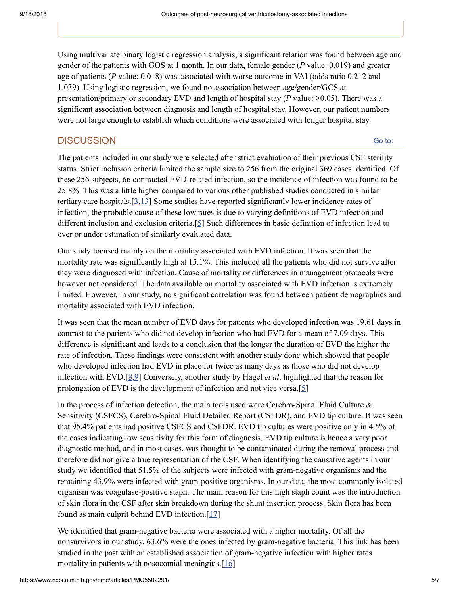Using multivariate binary logistic regression analysis, a significant relation was found between age and gender of the patients with GOS at 1 month. In our data, female gender (*P* value: 0.019) and greater age of patients (*P* value: 0.018) was associated with worse outcome in VAI (odds ratio 0.212 and 1.039). Using logistic regression, we found no association between age/gender/GCS at presentation/primary or secondary EVD and length of hospital stay (*P* value: >0.05). There was a significant association between diagnosis and length of hospital stay. However, our patient numbers were not large enough to establish which conditions were associated with longer hospital stay.

# **DISCUSSION**

Go to:

The patients included in our study were selected after strict evaluation of their previous CSF sterility status. Strict inclusion criteria limited the sample size to 256 from the original 369 cases identified. Of these 256 subjects, 66 contracted EVD-related infection, so the incidence of infection was found to be 25.8%. This was a little higher compared to various other published studies conducted in similar tertiary care hospitals.[[3](#page-7-4),[13](#page-8-2)] Some studies have reported significantly lower incidence rates of infection, the probable cause of these low rates is due to varying definitions of EVD infection and different inclusion and exclusion criteria.[[5](#page-7-5)] Such differences in basic definition of infection lead to over or under estimation of similarly evaluated data.

Our study focused mainly on the mortality associated with EVD infection. It was seen that the mortality rate was significantly high at 15.1%. This included all the patients who did not survive after they were diagnosed with infection. Cause of mortality or differences in management protocols were however not considered. The data available on mortality associated with EVD infection is extremely limited. However, in our study, no significant correlation was found between patient demographics and mortality associated with EVD infection.

It was seen that the mean number of EVD days for patients who developed infection was 19.61 days in contrast to the patients who did not develop infection who had EVD for a mean of 7.09 days. This difference is significant and leads to a conclusion that the longer the duration of EVD the higher the rate of infection. These findings were consistent with another study done which showed that people who developed infection had EVD in place for twice as many days as those who did not develop infection with EVD.[[8](#page-7-6),[9](#page-8-3)] Conversely, another study by Hagel *et al*. highlighted that the reason for prolongation of EVD is the development of infection and not vice versa.[[5\]](#page-7-5)

In the process of infection detection, the main tools used were Cerebro-Spinal Fluid Culture & Sensitivity (CSFCS), Cerebro-Spinal Fluid Detailed Report (CSFDR), and EVD tip culture. It was seen that 95.4% patients had positive CSFCS and CSFDR. EVD tip cultures were positive only in 4.5% of the cases indicating low sensitivity for this form of diagnosis. EVD tip culture is hence a very poor diagnostic method, and in most cases, was thought to be contaminated during the removal process and therefore did not give a true representation of the CSF. When identifying the causative agents in our study we identified that 51.5% of the subjects were infected with gram-negative organisms and the remaining 43.9% were infected with gram-positive organisms. In our data, the most commonly isolated organism was coagulase-positive staph. The main reason for this high staph count was the introduction of skin flora in the CSF after skin breakdown during the shunt insertion process. Skin flora has been found as main culprit behind EVD infection.[[17\]](#page-8-4)

We identified that gram-negative bacteria were associated with a higher mortality. Of all the nonsurvivors in our study, 63.6% were the ones infected by gram-negative bacteria. This link has been studied in the past with an established association of gram-negative infection with higher rates mortality in patients with nosocomial meningitis.<sup>[[16\]](#page-8-5)</sup>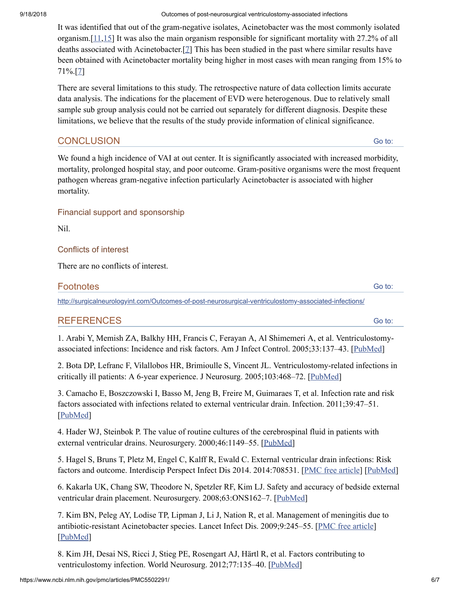9/18/2018 Outcomes of post-neurosurgical ventriculostomy-associated infections

It was identified that out of the gram-negative isolates, Acinetobacter was the most commonly isolated organism.[\[11,](#page-8-6)[15\]](#page-8-7) It was also the main organism responsible for significant mortality with 27.2% of all deaths associated with Acinetobacter.[[7](#page-7-7)] This has been studied in the past where similar results have been obtained with Acinetobacter mortality being higher in most cases with mean ranging from 15% to 71%.[\[7](#page-7-7)]

There are several limitations to this study. The retrospective nature of data collection limits accurate data analysis. The indications for the placement of EVD were heterogenous. Due to relatively small sample sub group analysis could not be carried out separately for different diagnosis. Despite these limitations, we believe that the results of the study provide information of clinical significance.

# **CONCLUSION**

Go to:

We found a high incidence of VAI at out center. It is significantly associated with increased morbidity, mortality, prolonged hospital stay, and poor outcome. Gram-positive organisms were the most frequent pathogen whereas gram-negative infection particularly Acinetobacter is associated with higher mortality.

#### Financial support and sponsorship

Nil.

# Conflicts of interest

There are no conflicts of interest.

# **Footnotes**

<http://surgicalneurologyint.com/Outcomes-of-post-neurosurgical-ventriculostomy-associated-infections/>

# REFERENCES

<span id="page-7-2"></span>1. Arabi Y, Memish ZA, Balkhy HH, Francis C, Ferayan A, Al Shimemeri A, et al. Ventriculostomyassociated infections: Incidence and risk factors. Am J Infect Control. 2005;33:137–43. [\[PubMed](https://www.ncbi.nlm.nih.gov/pubmed/15798667)]

<span id="page-7-3"></span>2. Bota DP, Lefranc F, Vilallobos HR, Brimioulle S, Vincent JL. Ventriculostomy-related infections in critically ill patients: A 6-year experience. J Neurosurg. 2005;103:468–72. [\[PubMed](https://www.ncbi.nlm.nih.gov/pubmed/16235679)]

<span id="page-7-4"></span>3. Camacho E, Boszczowski I, Basso M, Jeng B, Freire M, Guimaraes T, et al. Infection rate and risk factors associated with infections related to external ventricular drain. Infection. 2011;39:47–51. [\[PubMed\]](https://www.ncbi.nlm.nih.gov/pubmed/21264679)

<span id="page-7-1"></span>4. Hader WJ, Steinbok P. The value of routine cultures of the cerebrospinal fluid in patients with external ventricular drains. Neurosurgery. 2000;46:1149–55. [[PubMed\]](https://www.ncbi.nlm.nih.gov/pubmed/10807247)

<span id="page-7-5"></span>5. Hagel S, Bruns T, Pletz M, Engel C, Kalff R, Ewald C. External ventricular drain infections: Risk factors and outcome. Interdiscip Perspect Infect Dis 2014. 2014:708531. [PMC free [article\]](https://www.ncbi.nlm.nih.gov/pmc/articles/PMC4251652/) [\[PubMed](https://www.ncbi.nlm.nih.gov/pubmed/25484896)]

<span id="page-7-0"></span>6. Kakarla UK, Chang SW, Theodore N, Spetzler RF, Kim LJ. Safety and accuracy of bedside external ventricular drain placement. Neurosurgery. 2008;63:ONS162-7. [\[PubMed](https://www.ncbi.nlm.nih.gov/pubmed/18728595)]

<span id="page-7-7"></span>7. Kim BN, Peleg AY, Lodise TP, Lipman J, Li J, Nation R, et al. Management of meningitis due to antibiotic-resistant Acinetobacter species. Lancet Infect Dis. 2009;9:245–55. [PMC free [article](https://www.ncbi.nlm.nih.gov/pmc/articles/PMC2760093/)] [\[PubMed\]](https://www.ncbi.nlm.nih.gov/pubmed/19324297)

<span id="page-7-6"></span>8. Kim JH, Desai NS, Ricci J, Stieg PE, Rosengart AJ, Härtl R, et al. Factors contributing to ventriculostomy infection. World Neurosurg. 2012;77:135–40. [[PubMed\]](https://www.ncbi.nlm.nih.gov/pubmed/22405393)

Go to:

Go to: